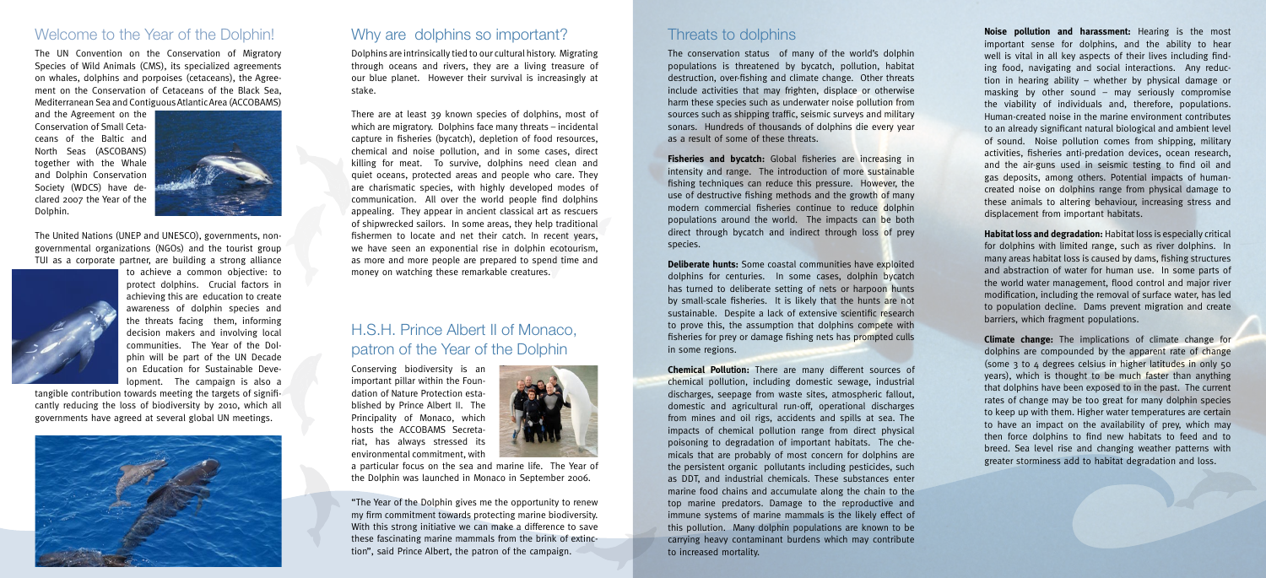#### Welcome to the Year of the Dolphin!

The UN Convention on the Conservation of Migratory Species of Wild Animals (CMS), its specialized agreements on whales, dolphins and porpoises (cetaceans), the Agreement on the Conservation of Cetaceans of the Black Sea, Mediterranean Sea and Contiguous Atlantic Area (ACCOBAMS)

and the Agreement on the Conservation of Small Cetaceans of the Baltic and North Seas (ASCOBANS) together with the Whale and Dolphin Conservation Society (WDCS) have declared 2007 the Year of the Dolphin.



The United Nations (UNEP and UNESCO), governments, nongovernmental organizations (NGOs) and the tourist group TUI as a corporate partner, are building a strong alliance



to achieve a common objective: to protect dolphins. Crucial factors in achieving this are education to create awareness of dolphin species and the threats facing them, informing decision makers and involving local communities. The Year of the Dolphin will be part of the UN Decade on Education for Sustainable Development. The campaign is also a

tangible contribution towards meeting the targets of significantly reducing the loss of biodiversity by 2010, which all governments have agreed at several global UN meetings.



### Why are dolphins so important?

Dolphins are intrinsically tied to our cultural history. Migrating through oceans and rivers, they are a living treasure of our blue planet. However their survival is increasingly at stake.

There are at least 39 known species of dolphins, most of which are migratory. Dolphins face many threats – incidental capture in fisheries (bycatch), depletion of food resources, chemical and noise pollution, and in some cases, direct killing for meat. To survive, dolphins need clean and quiet oceans, protected areas and people who care. They are charismatic species, with highly developed modes of communication. All over the world people find dolphins appealing. They appear in ancient classical art as rescuers of shipwrecked sailors. In some areas, they help traditional fishermen to locate and net their catch. In recent years, we have seen an exponential rise in dolphin ecotourism, as more and more people are prepared to spend time and money on watching these remarkable creatures.

## H.S.H. Prince Albert II of Monaco, patron of the Year of the Dolphin

Conserving biodiversity is an important pillar within the Foundation of Nature Protection established by Prince Albert II. The Principality of Monaco, which hosts the ACCOBAMS Secretariat, has always stressed its environmental commitment, with



a particular focus on the sea and marine life. The Year of the Dolphin was launched in Monaco in September 2006.

"The Year of the Dolphin gives me the opportunity to renew my firm commitment towards protecting marine biodiversity. With this strong initiative we can make a difference to save these fascinating marine mammals from the brink of extinction", said Prince Albert, the patron of the campaign.

### Threats to dolphins

The conservation status of many of the world's dolphin populations is threatened by bycatch, pollution, habitat destruction, over-fishing and climate change. Other threats include activities that may frighten, displace or otherwise harm these species such as underwater noise pollution from sources such as shipping traffic, seismic surveys and military sonars. Hundreds of thousands of dolphins die every year as a result of some of these threats.

**Fisheries and bycatch:** Global fisheries are increasing in intensity and range. The introduction of more sustainable fishing techniques can reduce this pressure. However, the use of destructive fishing methods and the growth of many modern commercial fisheries continue to reduce dolphin populations around the world. The impacts can be both direct through bycatch and indirect through loss of prey species.

**Deliberate hunts:** Some coastal communities have exploited dolphins for centuries. In some cases, dolphin bycatch has turned to deliberate setting of nets or harpoon hunts by small-scale fisheries. It is likely that the hunts are not sustainable. Despite a lack of extensive scientific research to prove this, the assumption that dolphins compete with fisheries for prey or damage fishing nets has prompted culls in some regions.

**Chemical Pollution:** There are many different sources of chemical pollution, including domestic sewage, industrial discharges, seepage from waste sites, atmospheric fallout, domestic and agricultural run-off, operational discharges from mines and oil rigs, accidents and spills at sea. The impacts of chemical pollution range from direct physical poisoning to degradation of important habitats. The chemicals that are probably of most concern for dolphins are the persistent organic pollutants including pesticides, such as DDT, and industrial chemicals. These substances enter marine food chains and accumulate along the chain to the top marine predators. Damage to the reproductive and immune systems of marine mammals is the likely effect of this pollution. Many dolphin populations are known to be carrying heavy contaminant burdens which may contribute to increased mortality.

**Noise pollution and harassment:** Hearing is the most important sense for dolphins, and the ability to hear well is vital in all key aspects of their lives including finding food, navigating and social interactions. Any reduction in hearing ability – whether by physical damage or masking by other sound – may seriously compromise the viability of individuals and, therefore, populations. Human-created noise in the marine environment contributes to an already significant natural biological and ambient level of sound. Noise pollution comes from shipping, military activities, fisheries anti-predation devices, ocean research, and the air-guns used in seismic testing to find oil and gas deposits, among others. Potential impacts of humancreated noise on dolphins range from physical damage to these animals to altering behaviour, increasing stress and displacement from important habitats.

**Habitat loss and degradation:** Habitat loss is especially critical for dolphins with limited range, such as river dolphins. In many areas habitat loss is caused by dams, fishing structures and abstraction of water for human use. In some parts of the world water management, flood control and major river modification, including the removal of surface water, has led to population decline. Dams prevent migration and create barriers, which fragment populations.

**Climate change:** The implications of climate change for dolphins are compounded by the apparent rate of change (some 3 to 4 degrees celsius in higher latitudes in only 50 years), which is thought to be much faster than anything that dolphins have been exposed to in the past. The current rates of change may be too great for many dolphin species to keep up with them. Higher water temperatures are certain to have an impact on the availability of prey, which may then force dolphins to find new habitats to feed and to breed. Sea level rise and changing weather patterns with greater storminess add to habitat degradation and loss.